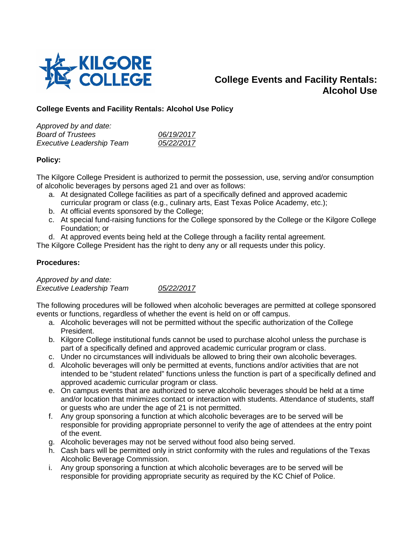

## **College Events and Facility Rentals: Alcohol Use**

## **College Events and Facility Rentals: Alcohol Use Policy**

| Approved by and date:            |            |
|----------------------------------|------------|
| Board of Trustees                | 06/19/2017 |
| <b>Executive Leadership Team</b> | 05/22/2017 |
|                                  |            |

## **Policy:**

The Kilgore College President is authorized to permit the possession, use, serving and/or consumption of alcoholic beverages by persons aged 21 and over as follows:

- a. At designated College facilities as part of a specifically defined and approved academic curricular program or class (e.g., culinary arts, East Texas Police Academy, etc.);
- b. At official events sponsored by the College;
- c. At special fund-raising functions for the College sponsored by the College or the Kilgore College Foundation; or
- d. At approved events being held at the College through a facility rental agreement.

The Kilgore College President has the right to deny any or all requests under this policy.

## **Procedures:**

*Approved by and date: Executive Leadership Team 05/22/2017*

The following procedures will be followed when alcoholic beverages are permitted at college sponsored events or functions, regardless of whether the event is held on or off campus.

- a. Alcoholic beverages will not be permitted without the specific authorization of the College President.
- b. Kilgore College institutional funds cannot be used to purchase alcohol unless the purchase is part of a specifically defined and approved academic curricular program or class.
- c. Under no circumstances will individuals be allowed to bring their own alcoholic beverages.
- d. Alcoholic beverages will only be permitted at events, functions and/or activities that are not intended to be "student related" functions unless the function is part of a specifically defined and approved academic curricular program or class.
- e. On campus events that are authorized to serve alcoholic beverages should be held at a time and/or location that minimizes contact or interaction with students. Attendance of students, staff or guests who are under the age of 21 is not permitted.
- f. Any group sponsoring a function at which alcoholic beverages are to be served will be responsible for providing appropriate personnel to verify the age of attendees at the entry point of the event.
- g. Alcoholic beverages may not be served without food also being served.
- h. Cash bars will be permitted only in strict conformity with the rules and regulations of the Texas Alcoholic Beverage Commission.
- i. Any group sponsoring a function at which alcoholic beverages are to be served will be responsible for providing appropriate security as required by the KC Chief of Police.